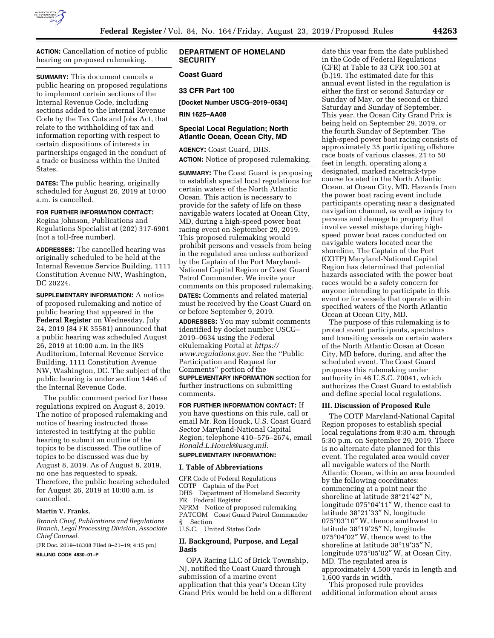

**ACTION:** Cancellation of notice of public hearing on proposed rulemaking.

**SUMMARY:** This document cancels a public hearing on proposed regulations to implement certain sections of the Internal Revenue Code, including sections added to the Internal Revenue Code by the Tax Cuts and Jobs Act, that relate to the withholding of tax and information reporting with respect to certain dispositions of interests in partnerships engaged in the conduct of a trade or business within the United States.

**DATES:** The public hearing, originally scheduled for August 26, 2019 at 10:00 a.m. is cancelled.

# **FOR FURTHER INFORMATION CONTACT:**

Regina Johnson, Publications and Regulations Specialist at (202) 317-6901 (not a toll-free number).

**ADDRESSES:** The cancelled hearing was originally scheduled to be held at the Internal Revenue Service Building, 1111 Constitution Avenue NW, Washington, DC 20224.

**SUPPLEMENTARY INFORMATION:** A notice of proposed rulemaking and notice of public hearing that appeared in the **Federal Register** on Wednesday, July 24, 2019 (84 FR 35581) announced that a public hearing was scheduled August 26, 2019 at 10:00 a.m. in the IRS Auditorium, Internal Revenue Service Building, 1111 Constitution Avenue NW, Washington, DC. The subject of the public hearing is under section 1446 of the Internal Revenue Code.

The public comment period for these regulations expired on August 8, 2019. The notice of proposed rulemaking and notice of hearing instructed those interested in testifying at the public hearing to submit an outline of the topics to be discussed. The outline of topics to be discussed was due by August 8, 2019. As of August 8, 2019, no one has requested to speak. Therefore, the public hearing scheduled for August 26, 2019 at 10:00 a.m. is cancelled.

#### **Martin V. Franks,**

*Branch Chief, Publications and Regulations Branch, Legal Processing Division, Associate Chief Counsel.* 

[FR Doc. 2019–18308 Filed 8–21–19; 4:15 pm] **BILLING CODE 4830–01–P** 

# **DEPARTMENT OF HOMELAND SECURITY**

# **Coast Guard**

**33 CFR Part 100** 

**[Docket Number USCG–2019–0634]** 

**RIN 1625–AA08** 

### **Special Local Regulation; North Atlantic Ocean, Ocean City, MD**

**AGENCY:** Coast Guard, DHS. **ACTION:** Notice of proposed rulemaking.

**SUMMARY:** The Coast Guard is proposing to establish special local regulations for certain waters of the North Atlantic Ocean. This action is necessary to provide for the safety of life on these navigable waters located at Ocean City, MD, during a high-speed power boat racing event on September 29, 2019. This proposed rulemaking would prohibit persons and vessels from being in the regulated area unless authorized by the Captain of the Port Maryland-National Capital Region or Coast Guard Patrol Commander. We invite your comments on this proposed rulemaking. **DATES:** Comments and related material must be received by the Coast Guard on or before September 9, 2019.

**ADDRESSES:** You may submit comments identified by docket number USCG– 2019–0634 using the Federal eRulemaking Portal at *[https://](https://www.regulations.gov) [www.regulations.gov.](https://www.regulations.gov)* See the ''Public Participation and Request for Comments'' portion of the **SUPPLEMENTARY INFORMATION** section for

further instructions on submitting comments.

**FOR FURTHER INFORMATION CONTACT:** If you have questions on this rule, call or email Mr. Ron Houck, U.S. Coast Guard Sector Maryland-National Capital Region; telephone 410–576–2674, email *[Ronald.L.Houck@uscg.mil.](mailto:Ronald.L.Houck@uscg.mil)* 

# **SUPPLEMENTARY INFORMATION:**

#### **I. Table of Abbreviations**

CFR Code of Federal Regulations COTP Captain of the Port DHS Department of Homeland Security FR Federal Register NPRM Notice of proposed rulemaking PATCOM Coast Guard Patrol Commander § Section U.S.C. United States Code

### **II. Background, Purpose, and Legal Basis**

OPA Racing LLC of Brick Township, NJ, notified the Coast Guard through submission of a marine event application that this year's Ocean City Grand Prix would be held on a different

date this year from the date published in the Code of Federal Regulations (CFR) at Table to 33 CFR 100.501 at (b.)19. The estimated date for this annual event listed in the regulation is either the first or second Saturday or Sunday of May, or the second or third Saturday and Sunday of September. This year, the Ocean City Grand Prix is being held on September 29, 2019, or the fourth Sunday of September. The high-speed power boat racing consists of approximately 35 participating offshore race boats of various classes, 21 to 50 feet in length, operating along a designated, marked racetrack-type course located in the North Atlantic Ocean, at Ocean City, MD. Hazards from the power boat racing event include participants operating near a designated navigation channel, as well as injury to persons and damage to property that involve vessel mishaps during highspeed power boat races conducted on navigable waters located near the shoreline. The Captain of the Port (COTP) Maryland-National Capital Region has determined that potential hazards associated with the power boat races would be a safety concern for anyone intending to participate in this event or for vessels that operate within specified waters of the North Atlantic Ocean at Ocean City, MD.

The purpose of this rulemaking is to protect event participants, spectators and transiting vessels on certain waters of the North Atlantic Ocean at Ocean City, MD before, during, and after the scheduled event. The Coast Guard proposes this rulemaking under authority in 46 U.S.C. 70041, which authorizes the Coast Guard to establish and define special local regulations.

### **III. Discussion of Proposed Rule**

The COTP Maryland-National Capital Region proposes to establish special local regulations from 8:30 a.m. through 5:30 p.m. on September 29, 2019. There is no alternate date planned for this event. The regulated area would cover all navigable waters of the North Atlantic Ocean, within an area bounded by the following coordinates: commencing at a point near the shoreline at latitude 38°21′42″ N, longitude 075°04′11″ W, thence east to latitude 38°21′33″ N, longitude 075°03′10″ W, thence southwest to latitude 38°19′25″ N, longitude 075°04′02″ W, thence west to the shoreline at latitude 38°19′35″ N, longitude 075°05′02″ W, at Ocean City, MD. The regulated area is approximately 4,500 yards in length and 1,600 yards in width.

This proposed rule provides additional information about areas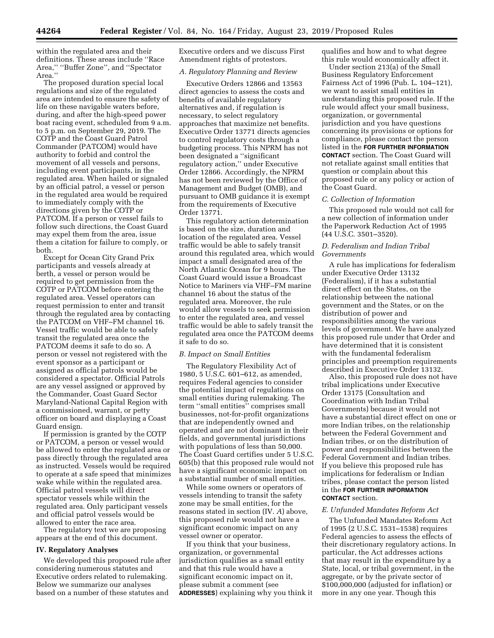within the regulated area and their definitions. These areas include ''Race Area,'' ''Buffer Zone'', and ''Spectator Area."

The proposed duration special local regulations and size of the regulated area are intended to ensure the safety of life on these navigable waters before, during, and after the high-speed power boat racing event, scheduled from 9 a.m. to 5 p.m. on September 29, 2019. The COTP and the Coast Guard Patrol Commander (PATCOM) would have authority to forbid and control the movement of all vessels and persons, including event participants, in the regulated area. When hailed or signaled by an official patrol, a vessel or person in the regulated area would be required to immediately comply with the directions given by the COTP or PATCOM. If a person or vessel fails to follow such directions, the Coast Guard may expel them from the area, issue them a citation for failure to comply, or both.

Except for Ocean City Grand Prix participants and vessels already at berth, a vessel or person would be required to get permission from the COTP or PATCOM before entering the regulated area. Vessel operators can request permission to enter and transit through the regulated area by contacting the PATCOM on VHF–FM channel 16. Vessel traffic would be able to safely transit the regulated area once the PATCOM deems it safe to do so. A person or vessel not registered with the event sponsor as a participant or assigned as official patrols would be considered a spectator. Official Patrols are any vessel assigned or approved by the Commander, Coast Guard Sector Maryland-National Capital Region with a commissioned, warrant, or petty officer on board and displaying a Coast Guard ensign.

If permission is granted by the COTP or PATCOM, a person or vessel would be allowed to enter the regulated area or pass directly through the regulated area as instructed. Vessels would be required to operate at a safe speed that minimizes wake while within the regulated area. Official patrol vessels will direct spectator vessels while within the regulated area. Only participant vessels and official patrol vessels would be allowed to enter the race area.

The regulatory text we are proposing appears at the end of this document.

#### **IV. Regulatory Analyses**

We developed this proposed rule after considering numerous statutes and Executive orders related to rulemaking. Below we summarize our analyses based on a number of these statutes and

Executive orders and we discuss First Amendment rights of protestors.

# *A. Regulatory Planning and Review*

Executive Orders 12866 and 13563 direct agencies to assess the costs and benefits of available regulatory alternatives and, if regulation is necessary, to select regulatory approaches that maximize net benefits. Executive Order 13771 directs agencies to control regulatory costs through a budgeting process. This NPRM has not been designated a ''significant regulatory action,'' under Executive Order 12866. Accordingly, the NPRM has not been reviewed by the Office of Management and Budget (OMB), and pursuant to OMB guidance it is exempt from the requirements of Executive Order 13771.

This regulatory action determination is based on the size, duration and location of the regulated area. Vessel traffic would be able to safely transit around this regulated area, which would impact a small designated area of the North Atlantic Ocean for 9 hours. The Coast Guard would issue a Broadcast Notice to Mariners via VHF–FM marine channel 16 about the status of the regulated area. Moreover, the rule would allow vessels to seek permission to enter the regulated area, and vessel traffic would be able to safely transit the regulated area once the PATCOM deems it safe to do so.

### *B. Impact on Small Entities*

The Regulatory Flexibility Act of 1980, 5 U.S.C. 601–612, as amended, requires Federal agencies to consider the potential impact of regulations on small entities during rulemaking. The term ''small entities'' comprises small businesses, not-for-profit organizations that are independently owned and operated and are not dominant in their fields, and governmental jurisdictions with populations of less than 50,000. The Coast Guard certifies under 5 U.S.C. 605(b) that this proposed rule would not have a significant economic impact on a substantial number of small entities.

While some owners or operators of vessels intending to transit the safety zone may be small entities, for the reasons stated in section (IV. *A*) above, this proposed rule would not have a significant economic impact on any vessel owner or operator.

If you think that your business, organization, or governmental jurisdiction qualifies as a small entity and that this rule would have a significant economic impact on it, please submit a comment (see **ADDRESSES**) explaining why you think it qualifies and how and to what degree this rule would economically affect it.

Under section 213(a) of the Small Business Regulatory Enforcement Fairness Act of 1996 (Pub. L. 104–121), we want to assist small entities in understanding this proposed rule. If the rule would affect your small business, organization, or governmental jurisdiction and you have questions concerning its provisions or options for compliance, please contact the person listed in the **FOR FURTHER INFORMATION CONTACT** section. The Coast Guard will not retaliate against small entities that question or complain about this proposed rule or any policy or action of the Coast Guard.

#### *C. Collection of Information*

This proposed rule would not call for a new collection of information under the Paperwork Reduction Act of 1995 (44 U.S.C. 3501–3520).

### *D. Federalism and Indian Tribal Governments*

A rule has implications for federalism under Executive Order 13132 (Federalism), if it has a substantial direct effect on the States, on the relationship between the national government and the States, or on the distribution of power and responsibilities among the various levels of government. We have analyzed this proposed rule under that Order and have determined that it is consistent with the fundamental federalism principles and preemption requirements described in Executive Order 13132.

Also, this proposed rule does not have tribal implications under Executive Order 13175 (Consultation and Coordination with Indian Tribal Governments) because it would not have a substantial direct effect on one or more Indian tribes, on the relationship between the Federal Government and Indian tribes, or on the distribution of power and responsibilities between the Federal Government and Indian tribes. If you believe this proposed rule has implications for federalism or Indian tribes, please contact the person listed in the **FOR FURTHER INFORMATION CONTACT** section.

#### *E. Unfunded Mandates Reform Act*

The Unfunded Mandates Reform Act of 1995 (2 U.S.C. 1531–1538) requires Federal agencies to assess the effects of their discretionary regulatory actions. In particular, the Act addresses actions that may result in the expenditure by a State, local, or tribal government, in the aggregate, or by the private sector of \$100,000,000 (adjusted for inflation) or more in any one year. Though this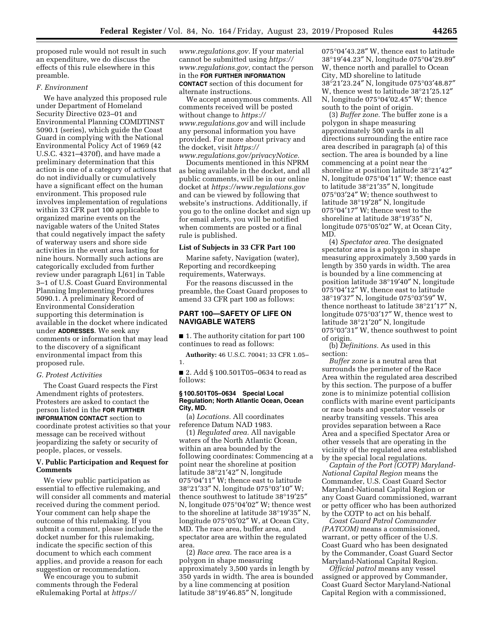proposed rule would not result in such an expenditure, we do discuss the effects of this rule elsewhere in this preamble.

#### *F. Environment*

We have analyzed this proposed rule under Department of Homeland Security Directive 023–01 and Environmental Planning COMDTINST 5090.1 (series), which guide the Coast Guard in complying with the National Environmental Policy Act of 1969 (42 U.S.C. 4321–4370f), and have made a preliminary determination that this action is one of a category of actions that do not individually or cumulatively have a significant effect on the human environment. This proposed rule involves implementation of regulations within 33 CFR part 100 applicable to organized marine events on the navigable waters of the United States that could negatively impact the safety of waterway users and shore side activities in the event area lasting for nine hours. Normally such actions are categorically excluded from further review under paragraph L[61] in Table 3–1 of U.S. Coast Guard Environmental Planning Implementing Procedures 5090.1. A preliminary Record of Environmental Consideration supporting this determination is available in the docket where indicated under **ADDRESSES**. We seek any comments or information that may lead to the discovery of a significant environmental impact from this proposed rule.

### *G. Protest Activities*

The Coast Guard respects the First Amendment rights of protesters. Protesters are asked to contact the person listed in the **FOR FURTHER INFORMATION CONTACT** section to coordinate protest activities so that your message can be received without jeopardizing the safety or security of people, places, or vessels.

### **V. Public Participation and Request for Comments**

We view public participation as essential to effective rulemaking, and will consider all comments and material received during the comment period. Your comment can help shape the outcome of this rulemaking. If you submit a comment, please include the docket number for this rulemaking, indicate the specific section of this document to which each comment applies, and provide a reason for each suggestion or recommendation.

We encourage you to submit comments through the Federal eRulemaking Portal at *[https://](https://www.regulations.gov)*

*[www.regulations.gov.](https://www.regulations.gov)* If your material cannot be submitted using *[https://](https://www.regulations.gov) [www.regulations.gov,](https://www.regulations.gov)* contact the person in the **FOR FURTHER INFORMATION CONTACT** section of this document for alternate instructions.

We accept anonymous comments. All comments received will be posted without change to *[https://](https://www.regulations.gov) [www.regulations.gov](https://www.regulations.gov)* and will include any personal information you have provided. For more about privacy and the docket, visit *[https://](https://www.regulations.gov/privacyNotice) [www.regulations.gov/privacyNotice.](https://www.regulations.gov/privacyNotice)* 

Documents mentioned in this NPRM as being available in the docket, and all public comments, will be in our online docket at *<https://www.regulations.gov>*  and can be viewed by following that website's instructions. Additionally, if you go to the online docket and sign up for email alerts, you will be notified when comments are posted or a final rule is published.

#### **List of Subjects in 33 CFR Part 100**

Marine safety, Navigation (water), Reporting and recordkeeping requirements, Waterways.

For the reasons discussed in the preamble, the Coast Guard proposes to amend 33 CFR part 100 as follows:

# **PART 100—SAFETY OF LIFE ON NAVIGABLE WATERS**

■ 1. The authority citation for part 100 continues to read as follows:

**Authority:** 46 U.S.C. 70041; 33 CFR 1.05– 1.

■ 2. Add § 100.501T05-0634 to read as follows:

### **§ 100.501T05–0634 Special Local Regulation; North Atlantic Ocean, Ocean City, MD.**

(a) *Locations.* All coordinates reference Datum NAD 1983.

(1) *Regulated area.* All navigable waters of the North Atlantic Ocean, within an area bounded by the following coordinates: Commencing at a point near the shoreline at position latitude 38°21′42″ N, longitude 075°04′11″ W; thence east to latitude 38°21′33″ N, longitude 075°03′10″ W; thence southwest to latitude 38°19′25″ N, longitude 075°04′02″ W; thence west to the shoreline at latitude 38°19′35″ N, longitude 075°05′02″ W, at Ocean City, MD. The race area, buffer area, and spectator area are within the regulated area.

(2) *Race area.* The race area is a polygon in shape measuring approximately 3,500 yards in length by 350 yards in width. The area is bounded by a line commencing at position latitude 38°19′46.85″ N, longitude

075°04′43.28″ W, thence east to latitude 38°19′44.23″ N, longitude 075°04′29.89″ W, thence north and parallel to Ocean City, MD shoreline to latitude 38°21′23.24″ N, longitude 075°03′48.87″ W, thence west to latitude 38°21′25.12″ N, longitude 075°04′02.45″ W; thence south to the point of origin.

(3) *Buffer zone.* The buffer zone is a polygon in shape measuring approximately 500 yards in all directions surrounding the entire race area described in paragraph (a) of this section. The area is bounded by a line commencing at a point near the shoreline at position latitude 38°21′42″ N, longitude 075°04′11″ W; thence east to latitude 38°21′35″ N, longitude 075°03′24″ W; thence southwest to latitude 38°19′28″ N, longitude 075°04′17″ W; thence west to the shoreline at latitude 38°19′35″ N, longitude 075°05′02″ W, at Ocean City, MD.

(4) *Spectator area.* The designated spectator area is a polygon in shape measuring approximately 3,500 yards in length by 350 yards in width. The area is bounded by a line commencing at position latitude 38°19′40″ N, longitude 075°04′12″ W, thence east to latitude 38°19′37″ N, longitude 075°03′59″ W, thence northeast to latitude 38°21′17″ N, longitude 075°03′17″ W, thence west to latitude 38°21′20″ N, longitude 075°03′31″ W, thence southwest to point of origin.

(b) *Definitions.* As used in this section:

*Buffer zone* is a neutral area that surrounds the perimeter of the Race Area within the regulated area described by this section. The purpose of a buffer zone is to minimize potential collision conflicts with marine event participants or race boats and spectator vessels or nearby transiting vessels. This area provides separation between a Race Area and a specified Spectator Area or other vessels that are operating in the vicinity of the regulated area established by the special local regulations.

*Captain of the Port (COTP) Maryland-National Capital Region* means the Commander, U.S. Coast Guard Sector Maryland-National Capital Region or any Coast Guard commissioned, warrant or petty officer who has been authorized by the COTP to act on his behalf.

*Coast Guard Patrol Commander (PATCOM)* means a commissioned, warrant, or petty officer of the U.S. Coast Guard who has been designated by the Commander, Coast Guard Sector Maryland-National Capital Region.

*Official patrol* means any vessel assigned or approved by Commander, Coast Guard Sector Maryland-National Capital Region with a commissioned,